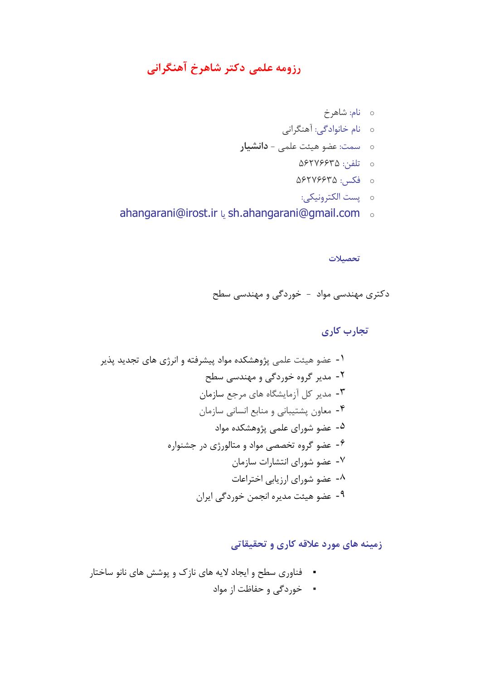# **رزومه علمی دکتر شاهرخ آهنگرانی**

- <sup>o</sup> نام: شاهرخ
- <sup>o</sup> نام خانوادگی: آهنگرانی
- <sup>o</sup> سمت: عضو هيئت علمی **دانشیار**
	- <sup>o</sup> تلفن: 56276635
	- <sup>o</sup> فکس: 56276635
		- <sup>o</sup> پست الکترونيکی:
- ahangarani@irost.ir يا sh.ahangarani@gmail.com <sup>o</sup>

**تحصیالت**

دکتري مهندسی مواد - خوردگی و مهندسی سطح

 **تجارب کاری**

-1 عضو هيئت علمی پژوهشکده مواد پيشرفته و انرژي هاي تجديد پذير -2 مدير گروه خوردگی و مهندسی سطح -3 مدير کل آزمايشگاه هاي مرجع سازمان -4 معاون پشتيبانی و منابع انسانی سازمان -5 عضو شوراي علمی پژوهشکده مواد -6 عضو گروه تخصصی مواد و متالورژي در جشنواره -7 عضو شوراي انتشارات سازمان -8 عضو شوراي ارزيابی اختراعات -9 عضو هيئت مديره انجمن خوردگی ايران

 **زمینه های مورد عالقه کاری و تحقیقاتی** 

- فناوري سطح و ايجاد اليه هاي نازك و پوشش هاي نانو ساختار
	- خوردگی و حفاظت از مواد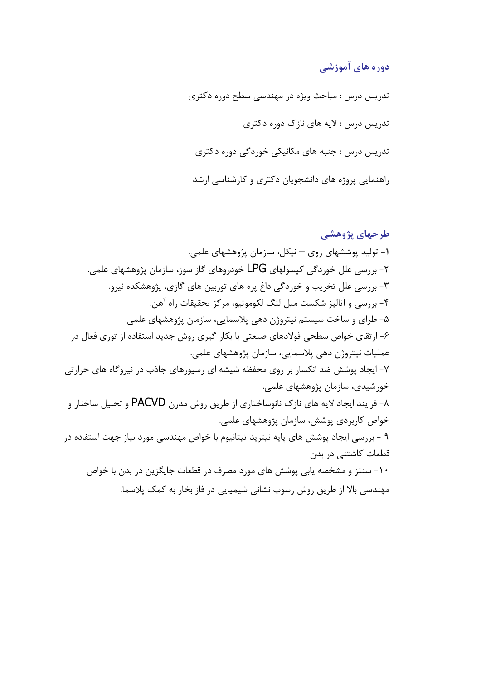## **دوره های آموزشی**

تدريس درس : مباحث ويژه در مهندسی سطح دوره دکتري تدريس درس : اليه هاي نازك دوره دکتري تدريس درس : جنبه هاي مکانيکی خوردگی دوره دکتري راهنمايی پروژه هاي دانشجويان دکتري و کارشناسی ارشد

**طرحهای پژوهشی**  -**1** توليد پوششهاي روي – نيکل، سازمان پژوهشهاي علمی. -2 بررسی علل خوردگی کپسولهاي LPG خودروهاي گاز سوز، سازمان پژوهشهاي علمی. -3 بررسی علل تخريب و خوردگی داغ پره هاي توربين هاي گازي، پژوهشکده نيرو. -4 بررسی و آناليز شکست ميل لنگ لکوموتيو، مرکز تحقيقات راه آهن. -5 طراي و ساخت سيستم نيتروژن دهی پالسمايی، سازمان پژوهشهاي علمی. -6 ارتقاي خواص سطحی فوالدهاي صنعتی با بکار گيري روش جديد استفاده از توري فعال در عمليات نيتروژن دهی پالسمايی، سازمان پژوهشهاي علمی . -7 ايجاد پوشش ضد انکسار بر روي محفظه شيشه اي رسيورهاي جاذب در نيروگاه هاي حرارتی خورشيدي، سازمان پژوهشهاي علمی. -8 فرايند ايجاد اليه هاي نازك نانوساختاري از طريق روش مدرن PACVD و تحليل ساختار و خواص کاربردي پوشش، سازمان پژوهشهاي علمی. 9 - بررسی ايجاد پوشش هاي پايه نيتريد تيتانيوم با خواص مهندسی مورد نياز جهت استفاده در قطعات کاشتنی در بدن -10 سنتز و مشخصه يابی پوشش هاي مورد مصرف در قطعات جايگزين در بدن با خواص مهندسی باال از طريق روش رسوب نشانی شيميايی در فاز بخار به کمک پالسما.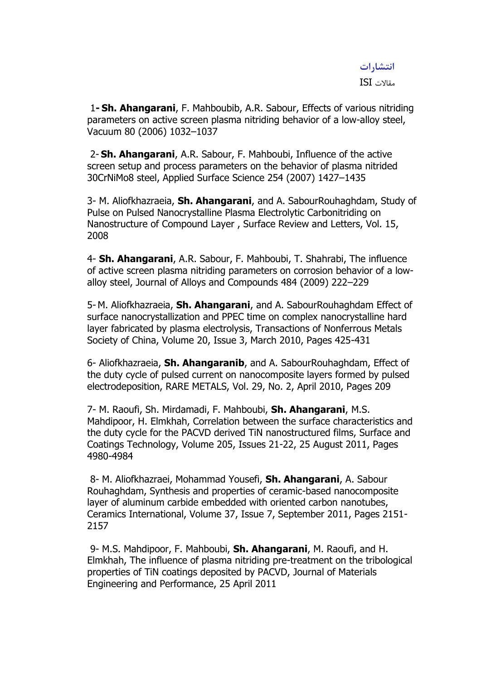# **انتشارات**

مقاالت ISI

1**- Sh. Ahangarani**, F. Mahboubib, A.R. Sabour, Effects of various nitriding parameters on active screen plasma nitriding behavior of a low-alloy steel, Vacuum 80 (2006) 1032–1037

2- **Sh. Ahangarani**, A.R. Sabour, F. Mahboubi, Influence of the active screen setup and process parameters on the behavior of plasma nitrided 30CrNiMo8 steel, Applied Surface Science 254 (2007) 1427–1435

3- M. Aliofkhazraeia, **Sh. Ahangarani**, and A. SabourRouhaghdam, Study of Pulse on Pulsed Nanocrystalline Plasma Electrolytic Carbonitriding on Nanostructure of Compound Layer , Surface Review and Letters, Vol. 15, 2008

4- **Sh. Ahangarani**, A.R. Sabour, F. Mahboubi, T. Shahrabi, The influence of active screen plasma nitriding parameters on corrosion behavior of a lowalloy steel, Journal of Alloys and Compounds 484 (2009) 222–229

5- M. Aliofkhazraeia, **Sh. Ahangarani**, and A. SabourRouhaghdam Effect of surface nanocrystallization and PPEC time on complex nanocrystalline hard layer fabricated by plasma electrolysis, Transactions of Nonferrous Metals Society of China, Volume 20, Issue 3, March 2010, Pages 425-431

6- Aliofkhazraeia, **Sh. Ahangaranib**, and A. SabourRouhaghdam, Effect of the duty cycle of pulsed current on nanocomposite layers formed by pulsed electrodeposition, RARE METALS, Vol. 29, No. 2, April 2010, Pages 209

7- M. Raoufi, Sh. Mirdamadi, F. Mahboubi, **Sh. Ahangarani**, M.S. Mahdipoor, H. Elmkhah, Correlation between the surface characteristics and the duty cycle for the PACVD derived TiN nanostructured films, Surface and Coatings Technology, Volume 205, Issues 21-22, 25 August 2011, Pages 4980-4984

8- M. Aliofkhazraei, Mohammad Yousefi, **Sh. Ahangarani**, A. Sabour Rouhaghdam, Synthesis and properties of ceramic-based nanocomposite layer of aluminum carbide embedded with oriented carbon nanotubes, Ceramics International, Volume 37, Issue 7, September 2011, Pages 2151- 2157

9- M.S. Mahdipoor, F. Mahboubi, **Sh. Ahangarani**, M. Raoufi, and H. Elmkhah, The influence of plasma nitriding pre-treatment on the tribological properties of TiN coatings deposited by PACVD, Journal of Materials Engineering and Performance, 25 April 2011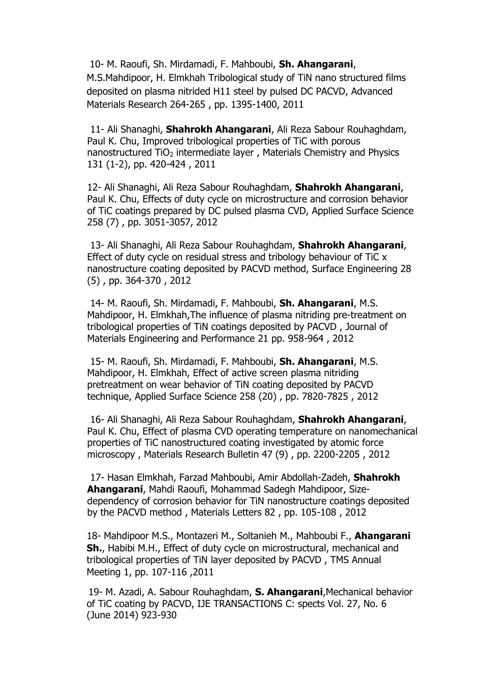10- M. Raoufi, Sh. Mirdamadi, F. Mahboubi, **Sh. Ahangarani**, M.S.Mahdipoor, H. Elmkhah Tribological study of TiN nano structured films deposited on plasma nitrided H11 steel by pulsed DC PACVD, Advanced Materials Research 264-265 , pp. 1395-1400, 2011

11- Ali Shanaghi, **Shahrokh Ahangarani**, Ali Reza Sabour Rouhaghdam, Paul K. Chu, Improved tribological properties of TiC with porous nanostructured TiO<sub>2</sub> intermediate layer, Materials Chemistry and Physics 131 (1-2), pp. 420-424 , 2011

12- Ali Shanaghi, Ali Reza Sabour Rouhaghdam, **Shahrokh Ahangarani**, Paul K. Chu, Effects of duty cycle on microstructure and corrosion behavior of TiC coatings prepared by DC pulsed plasma CVD, Applied Surface Science 258 (7) , pp. 3051-3057, 2012

13- Ali Shanaghi, Ali Reza Sabour Rouhaghdam, **Shahrokh Ahangarani**, Effect of duty cycle on residual stress and tribology behaviour of TiC x nanostructure coating deposited by PACVD method, Surface Engineering 28 (5) , pp. 364-370 , 2012

14- M. Raoufi, Sh. Mirdamadi, F. Mahboubi, **Sh. Ahangarani**, M.S. Mahdipoor, H. Elmkhah,The influence of plasma nitriding pre-treatment on tribological properties of TiN coatings deposited by PACVD , Journal of Materials Engineering and Performance 21 pp. 958-964 , 2012

15- M. Raoufi, Sh. Mirdamadi, F. Mahboubi, **Sh. Ahangarani**, M.S. Mahdipoor, H. Elmkhah, Effect of active screen plasma nitriding pretreatment on wear behavior of TiN coating deposited by PACVD technique, Applied Surface Science 258 (20) , pp. 7820-7825 , 2012

16- Ali Shanaghi, Ali Reza Sabour Rouhaghdam, **Shahrokh Ahangarani**, Paul K. Chu, Effect of plasma CVD operating temperature on nanomechanical properties of TiC nanostructured coating investigated by atomic force microscopy , Materials Research Bulletin 47 (9) , pp. 2200-2205 , 2012

17- Hasan Elmkhah, Farzad Mahboubi, Amir Abdollah-Zadeh, **Shahrokh Ahangarani**, Mahdi Raoufi, Mohammad Sadegh Mahdipoor, Sizedependency of corrosion behavior for TiN nanostructure coatings deposited by the PACVD method , Materials Letters 82 , pp. 105-108 , 2012

18- [Mahdipoor M.S.](http://www.scopus.com/authid/detail.url?authorId=37461885000&eid=2-s2.0-79960608651), [Montazeri M.](http://www.scopus.com/authid/detail.url?authorId=42262309200&eid=2-s2.0-79960608651), [Soltanieh M.,](http://www.scopus.com/authid/detail.url?authorId=15731936200&eid=2-s2.0-79960608651) [Mahboubi F.,](http://www.scopus.com/authid/detail.url?authorId=55983581900&eid=2-s2.0-79960608651) **[Ahangarani](http://www.scopus.com/authid/detail.url?authorId=13612303400&eid=2-s2.0-79960608651)  [Sh.](http://www.scopus.com/authid/detail.url?authorId=13612303400&eid=2-s2.0-79960608651)**, Habibi M.H., Effect of duty cycle on microstructural, mechanical and tribological properties of TiN layer deposited by PACVD , TMS Annual Meeting 1, pp. 107-116 ,2011

 19- M. Azadi, A. Sabour Rouhaghdam, **S. Ahangarani**,Mechanical behavior of TiC coating by PACVD, IJE TRANSACTIONS C: spects Vol. 27, No. 6 (June 2014) 923-930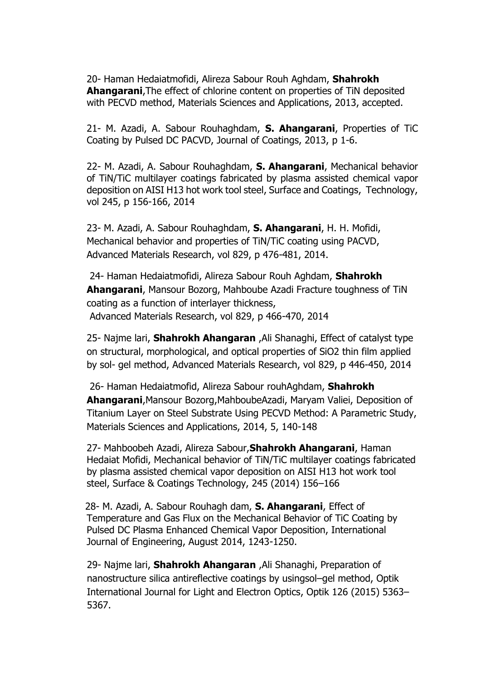20- Haman Hedaiatmofidi, Alireza Sabour Rouh Aghdam, **Shahrokh Ahangarani**,The effect of chlorine content on properties of TiN deposited with PECVD method, Materials Sciences and Applications, 2013, accepted.

21- M. Azadi, A. Sabour Rouhaghdam, **S. Ahangarani**, [Properties of TiC](http://dx.doi.org/10.1155/2013/712812) [Coating by Pulsed DC PACVD, Journal of Coatings, 2013, p](http://dx.doi.org/10.1155/2013/712812) 1-6.

22- [M. Azadi, A. Sabour Rouhaghdam,](http://dx.doi.org/10.1155/2013/712812) **S. Ahangarani**, [Mechanical behavior](http://dx.doi.org/10.1155/2013/712812)  [of TiN/TiC multilayer coatings fabricated by plasma assisted](http://dx.doi.org/10.1155/2013/712812) chemical vapor [deposition on AISI H13 hot work tool steel, Surface and Coatings, Technology,](http://dx.doi.org/10.1016/j.surfcoat.2014.02.055)  [vol 245, p 156-166, 2014](http://dx.doi.org/10.1016/j.surfcoat.2014.02.055)

23- [M. Azadi, A. Sabour Rouhaghdam,](http://dx.doi.org/10.1016/j.surfcoat.2014.02.055) **S. Ahangarani**, H. H. Mofidi, [Mechanical behavior and properties of TiN/TiC coating using PACVD,](http://10.0.15.188/www.scientific.net/AMR.829.476)  [Advanced Materials Research, vol 829, p 476-481, 2014.](http://10.0.15.188/www.scientific.net/AMR.829.476)

[2](http://10.0.15.188/www.scientific.net/AMR.829.476)4- Haman Hedaiatmofidi, Alireza Sabour Rouh Aghdam, **Shahrokh Ahangarani**, [Mansour Bozorg, Mahboube Azadi](http://dx.doi.org/10.1155/2013/712812) [Fracture toughness of TiN](http://dx.doi.org/10.1155/2013/712812)  [coating as a function of interlayer thickness,](http://dx.doi.org/10.1155/2013/712812) Advanced Materials Research, vol 829, p 466-470, 2014

25- Najme lari, **Shahrokh Ahangaran** ,Ali Shanaghi, [Effect of catalyst type](http://10.0.15.188/www.scientific.net/AMR.829.446)  [on structural, morphological, and optical properties of SiO2 thin film applied](http://10.0.15.188/www.scientific.net/AMR.829.446)  by sol- [gel method,](http://10.0.15.188/www.scientific.net/AMR.829.446) Advanced Materials Research, vol 829, p 446-450, 2014

26- Haman Hedaiatmofid, Alireza Sabour rouhAghdam, **Shahrokh Ahangarani**,Mansour Bozorg,MahboubeAzadi, Maryam Valiei, Deposition of Titanium Layer on Steel Substrate Using PECVD Method: A Parametric Study, Materials Sciences and Applications, 2014, 5, 140-148

27- Mahboobeh Azadi, Alireza Sabour,**Shahrokh Ahangarani**, Haman Hedaiat Mofidi, Mechanical behavior of TiN/TiC multilayer coatings fabricated by plasma assisted chemical vapor deposition on AISI H13 hot work tool steel, Surface & Coatings Technology, 245 (2014) 156–166

 28- M. Azadi, A. Sabour Rouhagh dam, **S. Ahangarani**, Effect of Temperature and Gas Flux on the Mechanical Behavior of TiC Coating by Pulsed DC Plasma Enhanced Chemical Vapor Deposition, International Journal of Engineering, August 2014, 1243-1250.

29- Najme lari, **Shahrokh Ahangaran** ,Ali Shanaghi, Preparation of nanostructure silica antireflective coatings by usingsol–gel method, Optik International Journal for Light and Electron Optics, Optik 126 (2015) 5363– 5367.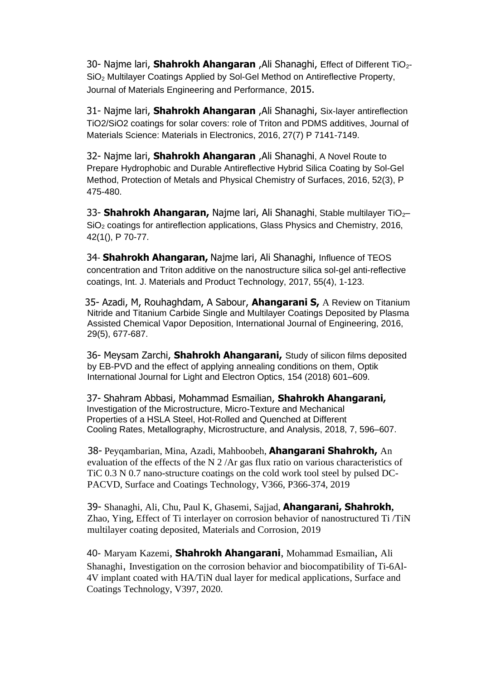30- Najme lari, **Shahrokh Ahangaran** ,Ali Shanaghi, Effect of Different TiO2- SiO<sup>2</sup> Multilayer Coatings Applied by Sol-Gel Method on Antireflective Property, Journal of Materials Engineering and Performance, 2015.

31- Najme lari, **Shahrokh Ahangaran** ,Ali Shanaghi, Six-layer antireflection TiO2/SiO2 coatings for solar covers: role of Triton and PDMS additives, Journal of Materials Science: Materials in Electronics, 2016, 27(7) P 7141-7149.

32- Najme lari, **Shahrokh Ahangaran** ,Ali Shanaghi, A Novel Route to Prepare Hydrophobic and Durable Antireflective Hybrid Silica Coating by Sol-Gel Method, Protection of Metals and Physical Chemistry of Surfaces, 2016, 52(3), P 475-480.

33- **Shahrokh Ahangaran,** Najme lari, Ali Shanaghi, Stable multilayer TiO<sub>2</sub>-SiO<sup>2</sup> coatings for antireflection applications, Glass Physics and Chemistry, 2016, 42(1(), P 70-77.

34- **Shahrokh Ahangaran,** Najme lari, Ali Shanaghi, Influence of TEOS concentration and Triton additive on the nanostructure silica sol-gel anti-reflective coatings, Int. J. Materials and Product Technology, 2017, 55(4), 1-123.

 35- Azadi, M, Rouhaghdam, A Sabour, **Ahangarani S,** A Review on Titanium Nitride and Titanium Carbide Single and Multilayer Coatings Deposited by Plasma Assisted Chemical Vapor Deposition, International Journal of Engineering, 2016, 29(5), 677-687.

36- Meysam Zarchi, **Shahrokh Ahangarani,** Study of silicon films deposited by EB-PVD and the effect of applying annealing conditions on them, Optik International Journal for Light and Electron Optics, 154 (2018) 601–609.

37- Shahram Abbasi, Mohammad Esmailian, **Shahrokh Ahangarani,**  Investigation of the Microstructure, Micro-Texture and Mechanical Properties of a HSLA Steel, Hot-Rolled and Quenched at Different Cooling Rates, Metallography, Microstructure, and Analysis, 2018, 7, 596–607.

 38- Peyqambarian, Mina, Azadi, Mahboobeh, **Ahangarani Shahrokh,** An evaluation of the effects of the N 2 /Ar gas flux ratio on various characteristics of TiC 0.3 N 0.7 nano-structure coatings on the cold work tool steel by pulsed DC-PACVD, Surface and Coatings Technology, V366, P366-374, 2019

39- Shanaghi, Ali, Chu, Paul K, Ghasemi, Sajjad, **Ahangarani, Shahrokh,**  Zhao, Ying, Effect of Ti interlayer on corrosion behavior of nanostructured Ti /TiN multilayer coating deposited, Materials and Corrosion, 2019

40- [Maryam](https://www.sciencedirect.com/science/article/abs/pii/S0257897220307131#!) Kazemi, **[Shahrokh Ahangarani](https://www.sciencedirect.com/science/article/abs/pii/S0257897220307131#!)**, [Mohammad](https://www.sciencedirect.com/science/article/abs/pii/S0257897220307131#!) Esmailian, [Ali](https://www.sciencedirect.com/science/article/abs/pii/S0257897220307131#!) [Shanaghi](https://www.sciencedirect.com/science/article/abs/pii/S0257897220307131#!), Investigation on the corrosion behavior and biocompatibility of Ti-6Al-4V implant coated with HA/TiN dual layer for medical applications, Surface and Coatings Technology, V397, 2020.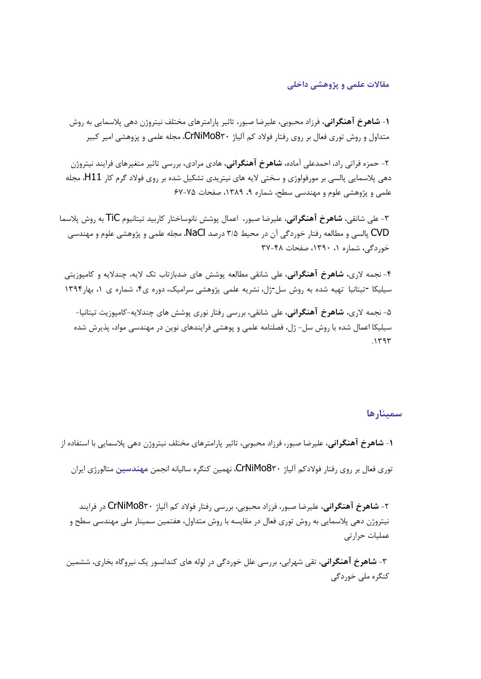### **مقاالت علمی و پژوهشی داخلی**

-**1 شاهرخ آهنگرانی**، فرزاد محبوبی، عليرضا صبور، تاثير پارامترهاي مختلف نيتروژن دهی پالسمايی به روش متداول و روش توري فعال بر روي رفتار فوالد کم آلياژ 830CrNiMo، مجله علمی و پزوهشی امير کبير

-2 حمزه فراتی راد، احمدعلی آماده، **شاهرخ آهنگرانی**، هادي مرادي، بررسی تاثير متغيرهاي فرايند نيتروژن دهی پالسمايی پالسی بر مورفولوژي و سختی اليه هاي نيتريدي تشکيل شده بر روي فوالد گرم کار 11H، مجله علمی و پژوهشی علوم و مهندسی سطح، شماره ،9 ،1389 صفحات 67-75

-3 علی شانقی، **شاهرخ آهنگرانی**، عليرضا صبور، اعمال پوشش نانوساختار کاربيد تيتانيوم TiC به روش پالسما CVD پالسی و مطالعه رفتار خوردگی آن در محيط 3/5 درصد NaCl، مجله علمی و پژوهشی علوم و مهندسی خوردگی، شماره ،1 ،1390 صفحات 37-48

-4 نجمه الري**، شاهرخ آهنگرانی**، علی شانقی مطالعه پوشش هاي ضدبازتاب تک اليه، چنداليه و کامپوزيتی سيليکا -تيتانيا تهيه شده به روش سل-ژل، نشريه علمی پژوهشی سراميک، دوره ي،4 شماره ي ،1 بهار1394

-5 نجمه الري، **شاهرخ آهنگرانی**، علی شانقی، بررسی رفتار نوري پوشش هاي چنداليه-کامپوزيت تيتانيا- سيليکا اعمال شده با روش سل- ژل، فصلنامه علمی و پوهشی فرايندهای نوين در مهندسی مواد، پذيرش شده  $.144$ 

#### **سمینارها**

-**1 شاهرخ آهنگرانی**، عليرضا صبور، فرزاد محبوبی، تاثير پارامترهاي مختلف نيتروژن دهی پالسمايی با استفاده از توري فعال بر روي رفتار فوالدکم آلياژ 830CrNiMo، نهمين کنگره ساليانه انجمن **مهندسین** متالورژي ايران

-2 **شاهرخ آهنگرانی**، عليرضا صبور، فرزاد محبوبی، بررسی رفتار فوالد کم آلياژ 830CrNiMo در فرايند نيتروژن دهی پالسمايی به روش توري فعال در مقايسه با روش متداول، هفتمين سمينار ملی مهندسی سطح و عمليات حرارتی

-3 **شاهرخ آهنگرانی**، تقی شهرابی، بررسی علل خوردگی در لوله هاي کندانسور يک نيروگاه بخاري، ششمين کنگره ملی خوردگی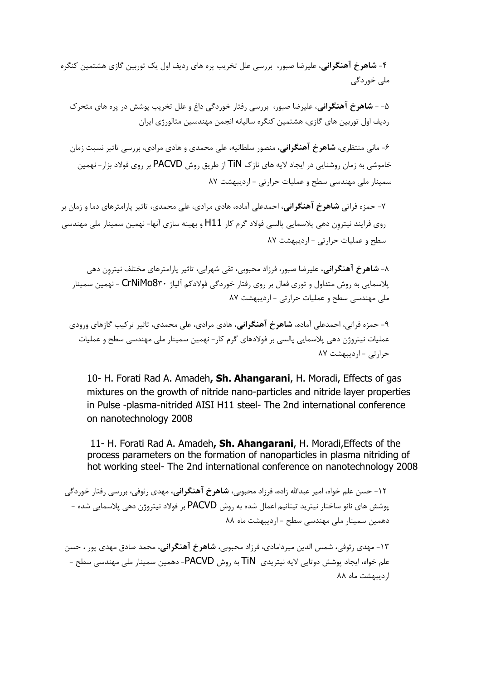-4 **شاهرخ آهنگرانی**، عليرضا صبور، بررسی علل تخريب پره هاي رديف اول يک توربين گازي هشتمين کنگره ملی خوردگی

-5 - **شاهرخ آهنگرانی**، عليرضا صبور، بررسی رفتار خوردگی داغ و علل تخريب پوشش در پره هاي متحرك رديف اول توربين هاي گازي، هشتمين کنگره ساليانه انجمن مهندسين متالورژي ايران

-6 مانی منتظري، **شاهرخ آهنگرانی**، منصور سلطانيه، علی محمدي و هادي مرادي، بررسی تاثير نسبت زمان خاموشی به زمان روشنايی در ايجاد اليه هاي نازك TiN از طريق روش PACVD بر روي فوالد بزار- نهمين سمينار ملی مهندسی سطح و عمليات حرارتی - ارديبهشت 87

-7 حمزه فراتی **شاهرخ آهنگرانی**، احمدعلی آماده، هادي مرادي، علی محمدي، تاثير پارامترهاي دما و زمان بر روي فرايند نيتروِن دهی پالسمايی پالسی فوالد گرم کار 11H و بهينه سازي آنها- نهمين سمينار ملی مهندسی سطح و عمليات حرارتی - ارديبهشت 87

-8 **شاهرخ آهنگرانی**، عليرضا صبور، فرزاد محبوبی، تقی شهرابی، تاثير پارامترهاي مختلف نيتروِن دهی پالسمايی به روش متداول و توري فعال بر روي رفتار خوردگی فوالدکم آلياژ 830CrNiMo - نهمين سمينار ملی مهندسی سطح و عمليات حرارتی - ارديبهشت 87

-9 حمزه فراتی، احمدعلی آماده، **شاهرخ آهنگرانی** ، هادي مرادي، علی محمدي، تاثير ترکيب گازهاي ورودي عمليات نيتروژن دهی پالسمايی پالسی بر فوالدهاي گرم کار- نهمين سمينار ملی مهندسی سطح و عمليات حرارتی - ارديبهشت 87

10- H. Forati Rad A. Amadeh**, Sh. Ahangarani**, H. Moradi, Effects of gas mixtures on the growth of nitride nano-particles and nitride layer properties in Pulse -plasma-nitrided AISI H11 steel- The 2nd international conference on nanotechnology 2008

11- H. Forati Rad A. Amadeh**, Sh. Ahangarani**, H. Moradi,Effects of the process parameters on the formation of nanoparticles in plasma nitriding of hot working steel- The 2nd international conference on nanotechnology 2008

-12 حسن علم خواه، امير عبداهلل زاده، فرزاد محبوبی، **شاهرخ آهنگرانی**، مهدي رئوفی، بررسی رفتار خوردگی پوشش هاي نانو ساختار نيتريد تيتانيم اعمال شده به روش PACVD بر فوالد نيتروژن دهی پالسمايی شده - دهمين سمينار ملی مهندسی سطح - ارديبهشت ماه 88

-13 مهدي رئوفی، شمس الدين ميردامادي، فرزاد محبوبی، **شاهرخ آهنگرانی**، محمد صادق مهدي پور ، حسن علم خواه، ايجاد پوشش دوتايی اليه نيتريدي TiN به روش PACVD- دهمين سمينار ملی مهندسی سطح - ارديبهشت ماه 88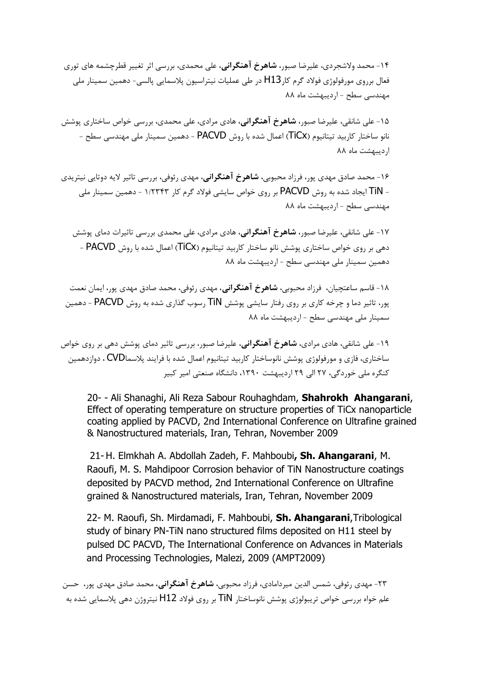-14 محمد والشجردي، عليرضا صبور، **شاهرخ آهنگرانی**، علی محمدي، بررسی اثر تغيير قطرچشمه هاي توري فعال برروی مورفولوژی فولاد گرم کار $\mathsf{H}13$  در طی عملیات نیتراسیون پلاسمایی پالسی- دهمین سمینار ملی مهندسی سطح - ارديبهشت ماه 88

-15 علی شانقی، عليرضا صبور، **شاهرخ آهنگرانی**، هادي مرادي، علی محمدي، بررسی خواص ساختاري پوشش نانو ساختار کاربيد تيتانيوم )TiCx )اعمال شده با روش PACVD - دهمين سمينار ملی مهندسی سطح - ارديبهشت ماه 88

-16 محمد صادق مهدي پور، فرزاد محبوبی، **شاهرخ آهنگرانی**، مهدي رئوفی، بررسی تاثير اليه دوتايی نيتريدي - TiN ايجاد شده به روش PACVD بر روي خواص سايشی فوالد گرم کار 1/2343 - دهمين سمينار ملی مهندسی سطح - ارديبهشت ماه 88

-17 علی شانقی، عليرضا صبور، **شاهرخ آهنگرانی**، هادي مرادي، علی محمدي بررسی تاثيرات دماي پوشش دهی بر روي خواص ساختاري پوشش نانو ساختار کاربيد تيتانيوم ) TiCx )اعمال شده با روش PACVD - دهمين سمينار ملی مهندسی سطح - ارديبهشت ماه 88

-18 قاسم ساعتچيان، فرزاد محبوبی، **شاهرخ آهنگرانی** ، مهدي رئوفی، محمد صادق مهدي پور، ايمان نعمت پور، تاثير دما و چرخه کاري بر روي رفتار سايشی پوشش TiN رسوب گذاري شده به روش PACVD - دهمين سمينار ملی مهندسی سطح - ارديبهشت ماه 88

-19 علی شانقی، هادي مرادي، **شاهرخ آهنگرانی**، عليرضا صبور، بررسی تاثير دماي پوشش دهی بر روي خواص ساختاري، فازي و مورفولوژي پوشش نانوساختار کاربيد تيتانيوم اعمال شده با فرايند پالسماCVD ، دوازدهمين کنگره ملی خوردگی، 27 الی 29 ارديبهشت ،1390 دانشگاه صنعتی امير کبير

20- - Ali Shanaghi, Ali Reza Sabour Rouhaghdam, **Shahrokh Ahangarani**, Effect of operating temperature on structure properties of TiCx nanoparticle coating applied by PACVD, 2nd International Conference on Ultrafine grained & Nanostructured materials, Iran, Tehran, November 2009

21-H. Elmkhah A. Abdollah Zadeh, F. Mahboubi**, Sh. Ahangarani**, M. Raoufi, M. S. Mahdipoor Corrosion behavior of TiN Nanostructure coatings deposited by PACVD method, 2nd International Conference on Ultrafine grained & Nanostructured materials, Iran, Tehran, November 2009

22- M. Raoufi, Sh. Mirdamadi, F. Mahboubi, **Sh. Ahangarani**,Tribological study of binary PN-TiN nano structured films deposited on H11 steel by pulsed DC PACVD, The International Conference on Advances in Materials and Processing Technologies, Malezi, 2009 (AMPT2009)

-23 مهدي رئوفی، شمس الدين ميردامادي، فرزاد محبوبی، **شاهرخ آهنگرانی** ، محمد صادق مهدي پور، حسن علم خواه بررسی خواص تريبولوژي پوشش نانوساختار TiN بر روي فوالد 12H نيتروژن دهی پالسمايی شده به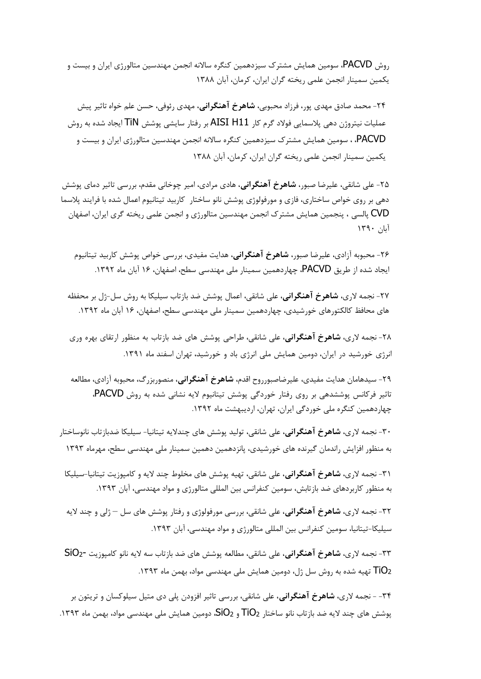روش PACVD، سومين همايش مشترك سيزدهمين کنگره ساالنه انجمن مهندسين متالورژي ايران و بيست و يکمين سمينار انجمن علمی ريخته گران ايران، کرمان، آبان 1388

-24 محمد صادق مهدي پور، فرزاد محبوبی، **شاهرخ آهنگرانی**، مهدي رئوفی، حسن علم خواه تاثير پيش عمليات نيتروژن دهی پالسمايی فوالد گرم کار 11H AISI بر رفتار سايشی پوشش TiN ايجاد شده به روش PACVD، ، سومين همايش مشترك سيزدهمين کنگره ساالنه انجمن مهندسين متالورژي ايران و بيست و يکمين سمينار انجمن علمی ريخته گران ايران، کرمان، آبان 1388

-25 علی شانقی، عليرضا صبور، **شاهرخ آهنگرانی**، هادي مرادي، امير چوخانی مقدم، بررسی تاثير دماي پوشش دهی بر روي خواص ساختاري، فازي و مورفولوژي پوشش نانو ساختار کاربيد تيتانيوم اعمال شده با فرايند پالسما CVD پالسی ، پنجمين همايش مشترك انجمن مهندسين متالورژي و انجمن علمی ريخته گري ايران، اصفهان آبان 1390

-26 محبوبه آزادي، عليرضا صبور، **شاهرخ آهنگرانی**، هدايت مفيدي، بررسی خواص پوشش کاربيد تيتانيوم ايجاد شده از طريق PACVD، چهاردهمين سمينار ملی مهندسی سطح، اصفهان، 16 آبان ماه .1392

-27 نجمه الري، **شاهرخ آهنگرانی**، علی شانقی، اعمال پوشش ضد بازتاب سيليکا به روش سل-ژل بر محفظه هاي محافظ کالکتورهاي خورشيدي، چهاردهمين سمينار ملی مهندسی سطح، اصفهان، 16 آبان ماه .1392

-28 نجمه الري، **شاهرخ آهنگرانی**، علی شانقی، طراحی پوشش هاي ضد بازتاب به منظور ارتقاي بهره وري انرژي خورشيد در ايران، دومين همايش ملی انرژي باد و خورشيد، تهران اسفند ماه .1391

-29 سيدهامان هدايت مفيدي، عليرضاصبورروح اقدم، **شاهرخ آهنگرانی**، منصوربزرگ، محبوبه آزادي، مطالعه تاثير فرکانس پوششدهی بر روي رفتار خوردگی پوشش تيتانيوم اليه نشانی شده به روش PACVD، چهاردهمين کنگره ملی خوردگی ايران، تهران، ارديبهشت ماه .1392

-30 نجمه الري، **شاهرخ آهنگرانی**، علی شانقی، توليد پوشش هاي چنداليه تيتانيا- سيليکا ضدبازتاب نانوساختار به منظور افزايش راندمان گيرنده هاي خورشيدي، پانزدهمين دهمين سمينار ملی مهندسی سطح، مهرماه 1393

-31 نجمه الري، **شاهرخ آهنگرانی**، علی شانقی، تهيه پوشش هاي مخلوط چند اليه و کامپوزيت تيتانيا-سيليکا به منظور کاربردهاي ضد بازتابش، سومين کنفرانس بين المللی متالورژي و مواد مهندسی، آبان .1393

-32 نجمه الري، **شاهرخ آهنگرانی**، علی شانقی، بررسی مورفولوژي و رفتار پوشش هاي سل – ژلی و چند اليه سيليکا-تيتانيا، سومين کنفرانس بين المللی متالورژي و مواد مهندسی، آبان .1393

-33 نجمه الري، **شاهرخ آهنگرانی**، علی شانقی، مطالعه پوشش هاي ضد بازتاب سه اليه نانو کامپوزيت 2-SiO تهیه شده به روش سل ژل، دومین همایش ملی مهندسی مواد، بهمن ماه ۱۳۹۳.  $\overline{\rm U}$ ۰

-34 - نجمه الري، **شاهرخ آهنگرانی**، علی شانقی، بررسی تاثير افزودن پلی دي متيل سيلوکسان و تريتون بر پوشش هاي چند لايه ضد بازتاب نانو ساختار TiO2 و SiO2، دومين همايش ملي مهندسی مواد، بهمن ماه ١٣٩٣.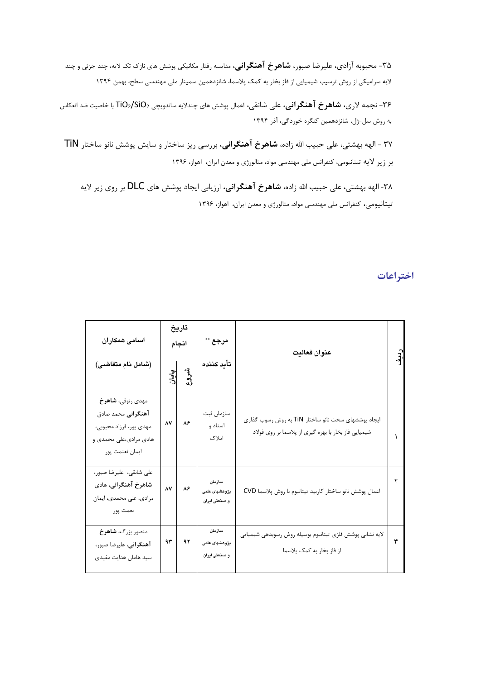-35 محبوبه آزادي، عليرضا صبور، **شاهرخ آهنگرانی**، مقايسه رفتار مکانيکی پوشش هاي نازك تک اليه، چند جزئی و چند اليه سراميکی از روش ترسيب شيميايی از فاز بخار به کمک پالسما، شانزدهمين سمينار ملی مهندسی سطح، بهمن 1394

-36 نجمه الري، **شاهرخ آهنگرانی**، علی شانقی، اعمال پوشش هاي چنداليه ساندويچی 2SiO2/TiO با خاصيت ضد انعکاس به روش سل-ژل، شانزدهمين کنگره خوردگی، آذر 1394

37 - الهه بهشتی، علی حبيب اهلل زاده، **شاهرخ آهنگرانی** ، بررسی ريز ساختار و سايش پوشش نانو ساختار TiN بر زير اليه تيتانيومی، کنفرانس ملی مهندسی مواد، متالورژي و معدن ايران، اهواز، 1396

-38 الهه بهشتی، علی حبيب اهلل زاده، **شاهرخ آهنگرانی**، ارزيابی ايجاد پوشش هاي DLC بر روي زير اليه تيتانيومی، کنفرانس ملی مهندسی مواد، متالورژي و معدن ايران، اهواز، 1396

|                                                                                                                 |                |      |                                          |                                                                                                             | اختراعات |
|-----------------------------------------------------------------------------------------------------------------|----------------|------|------------------------------------------|-------------------------------------------------------------------------------------------------------------|----------|
| اسامی همکاران<br>(شامل نام متقاضى)                                                                              | تاريخ<br>انجام |      | مرجع **                                  | عنوان فعاليت                                                                                                |          |
|                                                                                                                 | پایان          | شروع | تأيد كننده                               |                                                                                                             |          |
| مهدي رئوفي، شاهرخ<br>آهنگرانی محمد صادق<br>مهدي پور، فرزاد محبوبي،<br>هادي مرادي،علي محمدي و<br>ايمان نعنمت پور | $\Lambda V$    | ٨۶   | سازمان ثبت<br>اسناد و<br>املاک           | ایجاد پوششهای سخت نانو ساختار TiN به روش رسوب گذاری<br>شیمیایی فاز بخار با بهره گیری از پلاسما بر روی فولاد |          |
| على شانقى، عليرضا صبور،<br>شاهرخ آهنگرانی، هادی<br>مرادي، على محمدي، ايمان<br>نعمت پور                          | $\Lambda V$    | ٨۶   | سازمان<br>پژوهشهای علمی<br>و صنعتی ایران | اعمال پوشش نانو ساختار كاربيد تيتانيوم با روش پلاسما CVD                                                    | ۲        |
| منصور بزرگ، <b>شاهرخ</b><br>آهنگرانی، علیرضا صبور،<br>سید هامان هدایت مفیدی                                     | ۹۳             | ۹۲   | سازمان<br>پژوهشهای علمی<br>و صنعتی ایران | لایه نشانی پوشش فلزی تیتانیوم بوسیله روش رسوبدهی شیمیایی<br>از فاز بخار به کمک پلاسما                       | ٣        |